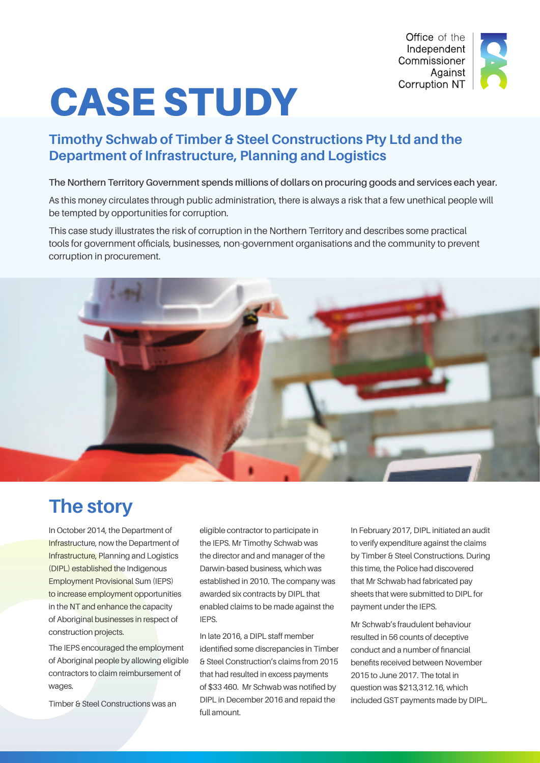

# CASE STUDY

# **Timothy Schwab of Timber & Steel Constructions Pty Ltd and the Department of Infrastructure, Planning and Logistics**

**The Northern Territory Government spends millions of dollars on procuring goods and services each year.** 

As this money circulates through public administration, there is always a risk that a few unethical people will be tempted by opportunities for corruption.

This case study illustrates the risk of corruption in the Northern Territory and describes some practical tools for government officials, businesses, non-government organisations and the community to prevent corruption in procurement.



# **The story**

In October 2014, the Department of Infrastructure, now the Department of Infrastructure, Planning and Logistics (DIPL) established the Indigenous Employment Provisional Sum (IEPS) to increase employment opportunities in the NT and enhance the capacity of Aboriginal businesses in respect of construction projects.

The IEPS encouraged the employment of Aboriginal people by allowing eligible contractors to claim reimbursement of wages.

Timber & Steel Constructions was an

eligible contractor to participate in the IEPS. Mr Timothy Schwab was the director and and manager of the Darwin-based business, which was established in 2010. The company was awarded six contracts by DIPL that enabled claims to be made against the IEPS.

In late 2016, a DIPL staff member identified some discrepancies in Timber & Steel Construction's claims from 2015 that had resulted in excess payments of \$33 460. Mr Schwab was notified by DIPL in December 2016 and repaid the full amount.

In February 2017, DIPL initiated an audit to verify expenditure against the claims by Timber & Steel Constructions. During this time, the Police had discovered that Mr Schwab had fabricated pay sheets that were submitted to DIPL for payment under the IEPS.

Mr Schwab's fraudulent behaviour resulted in 56 counts of deceptive conduct and a number of financial benefits received between November 2015 to June 2017. The total in question was \$213,312.16, which included GST payments made by DIPL.